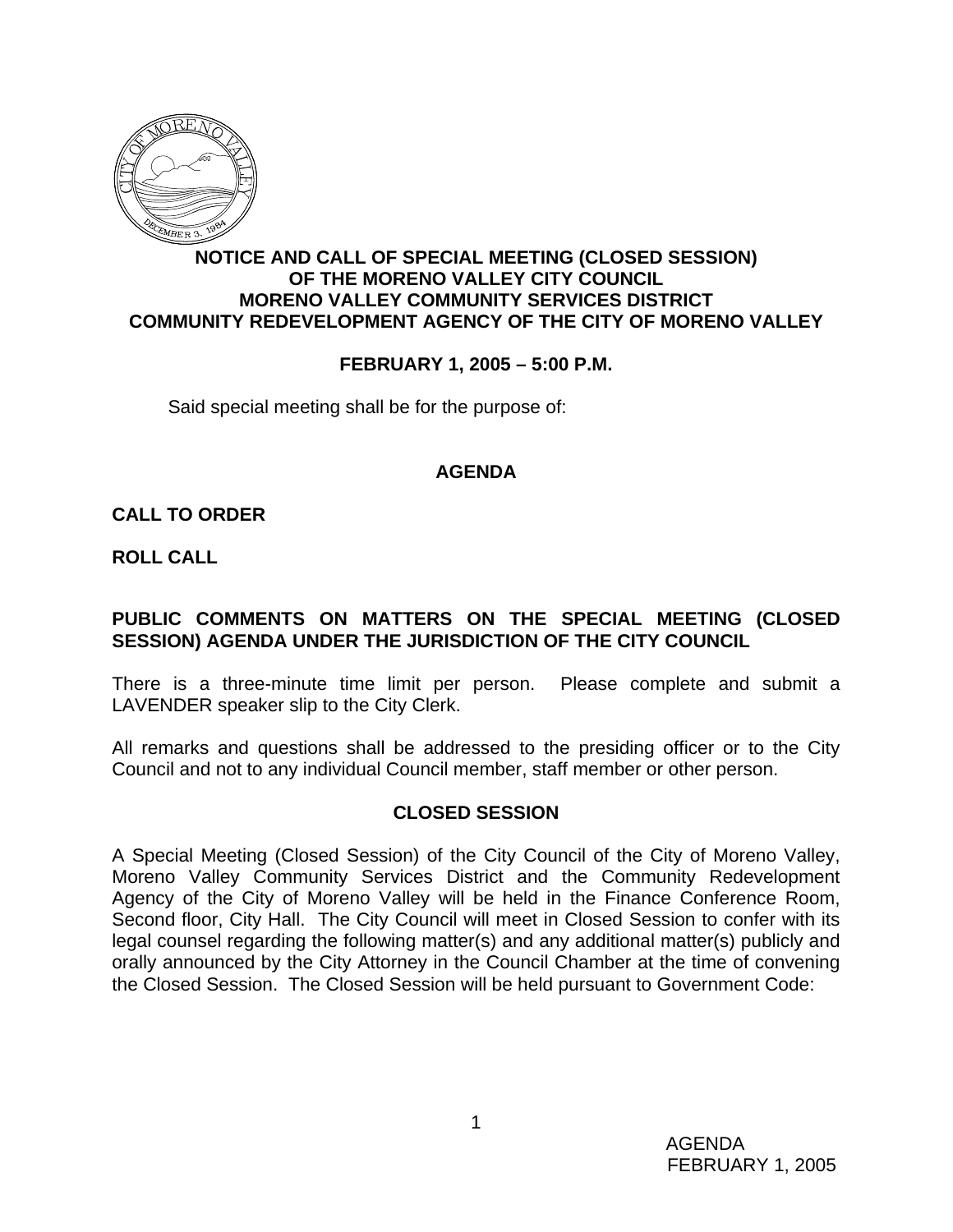

# **NOTICE AND CALL OF SPECIAL MEETING (CLOSED SESSION) OF THE MORENO VALLEY CITY COUNCIL MORENO VALLEY COMMUNITY SERVICES DISTRICT COMMUNITY REDEVELOPMENT AGENCY OF THE CITY OF MORENO VALLEY**

## **FEBRUARY 1, 2005 – 5:00 P.M.**

Said special meeting shall be for the purpose of:

### **AGENDA**

### **CALL TO ORDER**

**ROLL CALL**

## **PUBLIC COMMENTS ON MATTERS ON THE SPECIAL MEETING (CLOSED SESSION) AGENDA UNDER THE JURISDICTION OF THE CITY COUNCIL**

There is a three-minute time limit per person. Please complete and submit a LAVENDER speaker slip to the City Clerk.

All remarks and questions shall be addressed to the presiding officer or to the City Council and not to any individual Council member, staff member or other person.

#### **CLOSED SESSION**

A Special Meeting (Closed Session) of the City Council of the City of Moreno Valley, Moreno Valley Community Services District and the Community Redevelopment Agency of the City of Moreno Valley will be held in the Finance Conference Room, Second floor, City Hall. The City Council will meet in Closed Session to confer with its legal counsel regarding the following matter(s) and any additional matter(s) publicly and orally announced by the City Attorney in the Council Chamber at the time of convening the Closed Session. The Closed Session will be held pursuant to Government Code: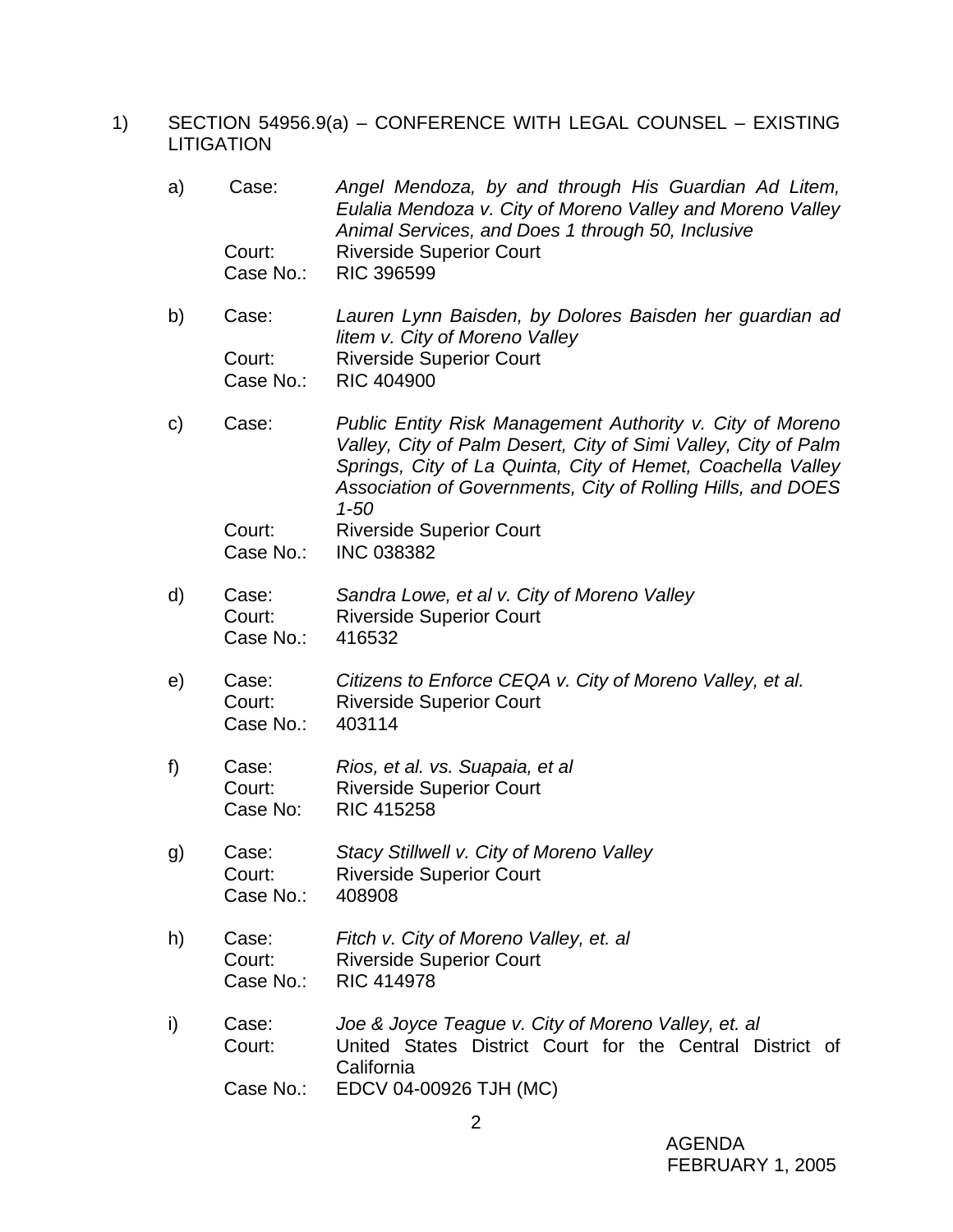1) SECTION 54956.9(a) – CONFERENCE WITH LEGAL COUNSEL – EXISTING LITIGATION

| a)           | Case:<br>Court:<br>Case No.: | Angel Mendoza, by and through His Guardian Ad Litem,<br>Eulalia Mendoza v. City of Moreno Valley and Moreno Valley<br>Animal Services, and Does 1 through 50, Inclusive<br><b>Riverside Superior Court</b><br><b>RIC 396599</b>                                       |
|--------------|------------------------------|-----------------------------------------------------------------------------------------------------------------------------------------------------------------------------------------------------------------------------------------------------------------------|
| b)           | Case:                        | Lauren Lynn Baisden, by Dolores Baisden her guardian ad<br>litem v. City of Moreno Valley                                                                                                                                                                             |
|              | Court:<br>Case No.:          | <b>Riverside Superior Court</b><br><b>RIC 404900</b>                                                                                                                                                                                                                  |
| $\mathsf{C}$ | Case:                        | Public Entity Risk Management Authority v. City of Moreno<br>Valley, City of Palm Desert, City of Simi Valley, City of Palm<br>Springs, City of La Quinta, City of Hemet, Coachella Valley<br>Association of Governments, City of Rolling Hills, and DOES<br>$1 - 50$ |
|              | Court:<br>Case No.:          | <b>Riverside Superior Court</b><br><b>INC 038382</b>                                                                                                                                                                                                                  |
| d)           | Case:<br>Court:<br>Case No.: | Sandra Lowe, et al v. City of Moreno Valley<br><b>Riverside Superior Court</b><br>416532                                                                                                                                                                              |
| e)           | Case:<br>Court:<br>Case No.: | Citizens to Enforce CEQA v. City of Moreno Valley, et al.<br><b>Riverside Superior Court</b><br>403114                                                                                                                                                                |
| f)           | Case:<br>Court:<br>Case No:  | Rios, et al. vs. Suapaia, et al<br><b>Riverside Superior Court</b><br><b>RIC 415258</b>                                                                                                                                                                               |
| g)           | Case:<br>Court:<br>Case No.: | Stacy Stillwell v. City of Moreno Valley<br><b>Riverside Superior Court</b><br>408908                                                                                                                                                                                 |
| h)           | Case:<br>Court:<br>Case No.: | Fitch v. City of Moreno Valley, et. al<br><b>Riverside Superior Court</b><br><b>RIC 414978</b>                                                                                                                                                                        |
| i)           | Case:<br>Court:              | Joe & Joyce Teague v. City of Moreno Valley, et. al<br>United States District Court for the Central District of<br>California                                                                                                                                         |
|              | Case No.:                    | EDCV 04-00926 TJH (MC)                                                                                                                                                                                                                                                |

 AGENDA FEBRUARY 1, 2005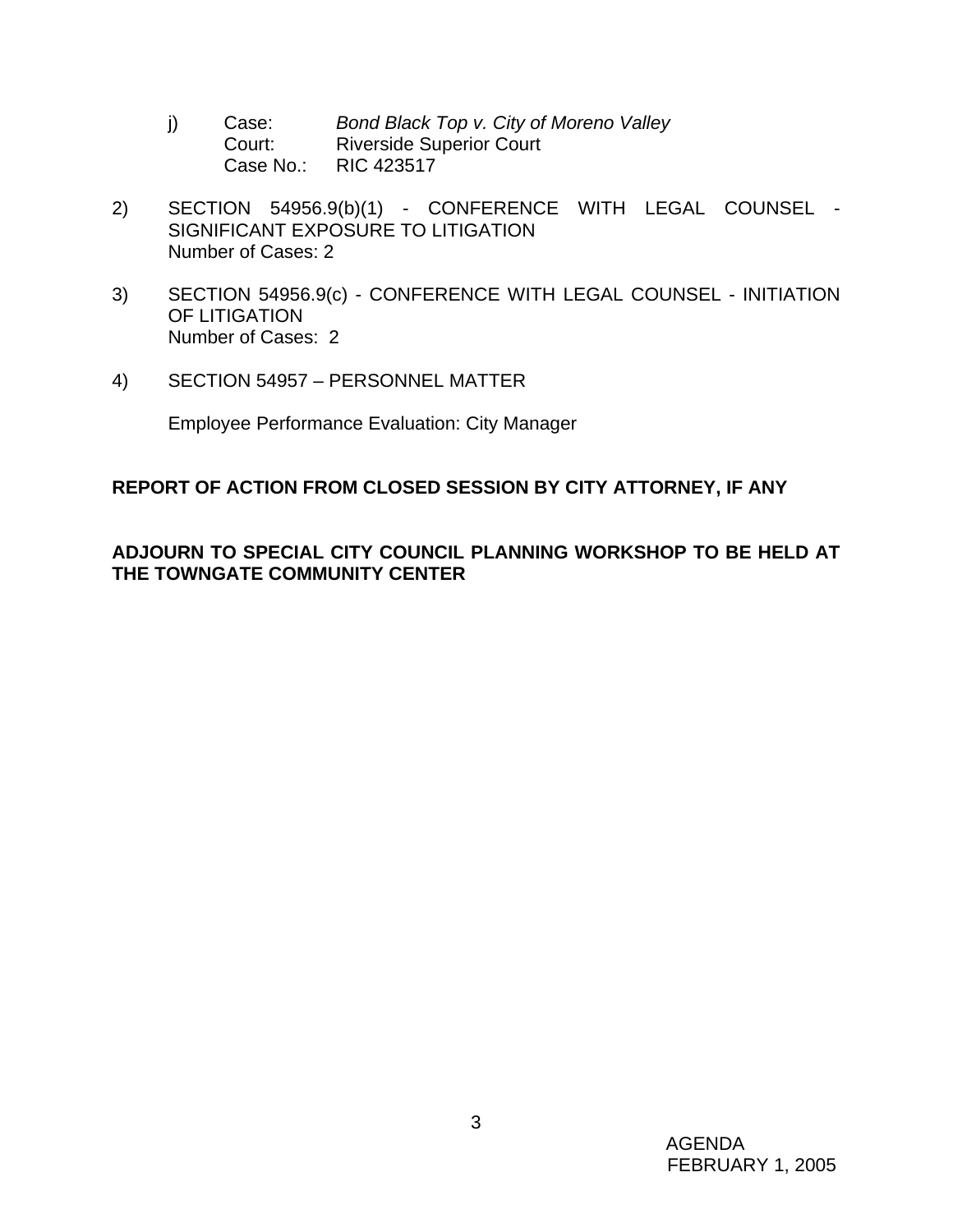- j) Case: *Bond Black Top v. City of Moreno Valley* **Court:** Riverside Superior Court Case No.: RIC 423517
- 2) SECTION 54956.9(b)(1) CONFERENCE WITH LEGAL COUNSEL SIGNIFICANT EXPOSURE TO LITIGATION Number of Cases: 2
- 3) SECTION 54956.9(c) CONFERENCE WITH LEGAL COUNSEL INITIATION OF LITIGATION Number of Cases: 2
- 4) SECTION 54957 PERSONNEL MATTER

Employee Performance Evaluation: City Manager

# **REPORT OF ACTION FROM CLOSED SESSION BY CITY ATTORNEY, IF ANY**

# **ADJOURN TO SPECIAL CITY COUNCIL PLANNING WORKSHOP TO BE HELD AT THE TOWNGATE COMMUNITY CENTER**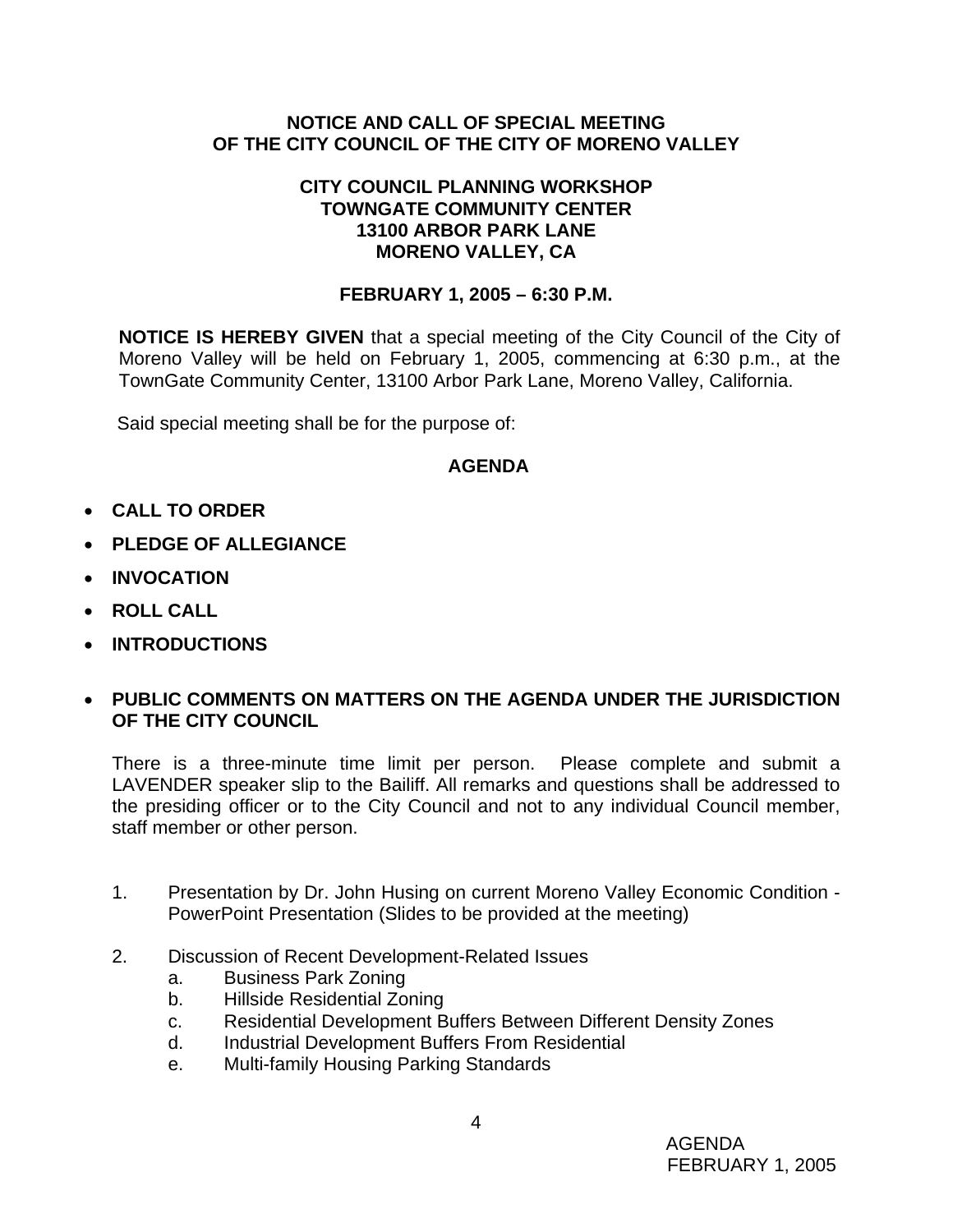# **NOTICE AND CALL OF SPECIAL MEETING OF THE CITY COUNCIL OF THE CITY OF MORENO VALLEY**

### **CITY COUNCIL PLANNING WORKSHOP TOWNGATE COMMUNITY CENTER 13100 ARBOR PARK LANE MORENO VALLEY, CA**

# **FEBRUARY 1, 2005 – 6:30 P.M.**

**NOTICE IS HEREBY GIVEN** that a special meeting of the City Council of the City of Moreno Valley will be held on February 1, 2005, commencing at 6:30 p.m., at the TownGate Community Center, 13100 Arbor Park Lane, Moreno Valley, California.

Said special meeting shall be for the purpose of:

# **AGENDA**

- **CALL TO ORDER**
- **PLEDGE OF ALLEGIANCE**
- **INVOCATION**
- **ROLL CALL**
- **INTRODUCTIONS**

# • **PUBLIC COMMENTS ON MATTERS ON THE AGENDA UNDER THE JURISDICTION OF THE CITY COUNCIL**

There is a three-minute time limit per person. Please complete and submit a LAVENDER speaker slip to the Bailiff. All remarks and questions shall be addressed to the presiding officer or to the City Council and not to any individual Council member, staff member or other person.

- 1. Presentation by Dr. John Husing on current Moreno Valley Economic Condition PowerPoint Presentation (Slides to be provided at the meeting)
- 2. Discussion of Recent Development-Related Issues
	- a. Business Park Zoning
	- b. Hillside Residential Zoning
	- c. Residential Development Buffers Between Different Density Zones
	- d. Industrial Development Buffers From Residential
	- e. Multi-family Housing Parking Standards